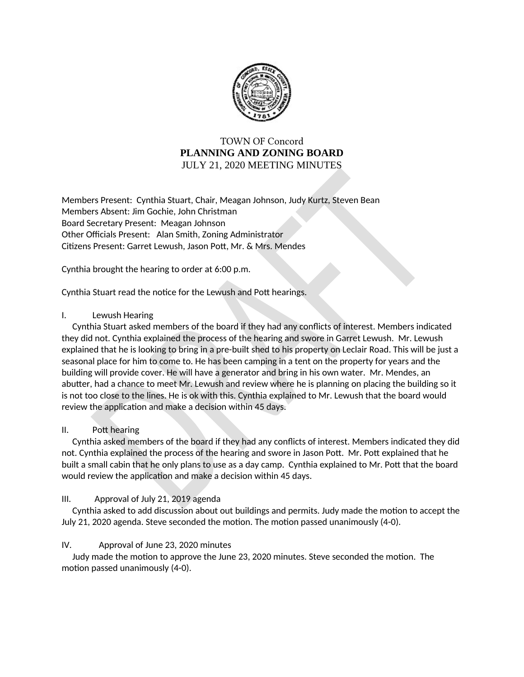

# **TOWN OF Concord PLANNING AND ZONING BOARD** JULY 21, 2020 MEETING MINUTES

Members Present: Cynthia Stuart, Chair, Meagan Johnson, Judy Kurtz, Steven Bean Members Absent: Jim Gochie, John Christman Board Secretary Present: Meagan Johnson Other Officials Present: Alan Smith, Zoning Administrator Citizens Present: Garret Lewush, Jason Pott, Mr. & Mrs. Mendes

Cynthia brought the hearing to order at 6:00 p.m.

Cynthia Stuart read the notice for the Lewush and Pott hearings.

#### $\mathbf{L}$ Lewush Hearing

Cynthia Stuart asked members of the board if they had any conflicts of interest. Members indicated they did not. Cynthia explained the process of the hearing and swore in Garret Lewush. Mr. Lewush explained that he is looking to bring in a pre-built shed to his property on Leclair Road. This will be just a seasonal place for him to come to. He has been camping in a tent on the property for years and the building will provide cover. He will have a generator and bring in his own water. Mr. Mendes, an abutter, had a chance to meet Mr. Lewush and review where he is planning on placing the building so it is not too close to the lines. He is ok with this. Cynthia explained to Mr. Lewush that the board would review the application and make a decision within 45 days.

#### Ш. Pott hearing

Cynthia asked members of the board if they had any conflicts of interest. Members indicated they did not. Cynthia explained the process of the hearing and swore in Jason Pott. Mr. Pott explained that he built a small cabin that he only plans to use as a day camp. Cynthia explained to Mr. Pott that the board would review the application and make a decision within 45 days.

#### Approval of July 21, 2019 agenda  $III.$

Cynthia asked to add discussion about out buildings and permits. Judy made the motion to accept the July 21, 2020 agenda. Steve seconded the motion. The motion passed unanimously (4-0).

# IV. Approval of June 23, 2020 minutes

Judy made the motion to approve the June 23, 2020 minutes. Steve seconded the motion. The motion passed unanimously (4-0).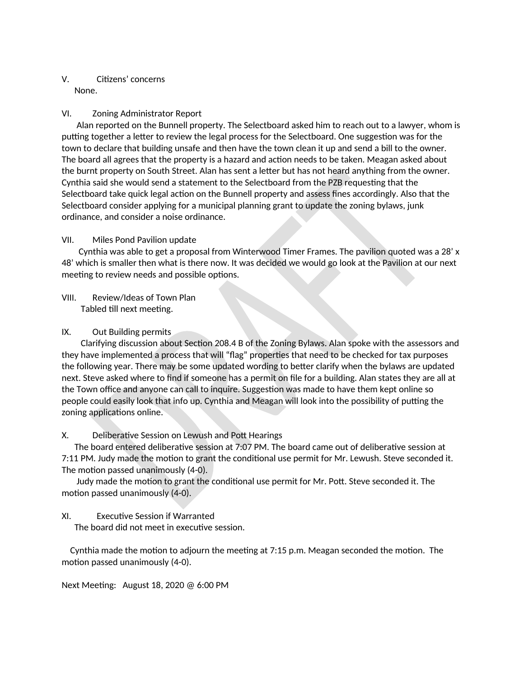# V. Citizens' concerns None.

#### VI. **Zoning Administrator Report**

Alan reported on the Bunnell property. The Selectboard asked him to reach out to a lawyer, whom is putting together a letter to review the legal process for the Selectboard. One suggestion was for the town to declare that building unsafe and then have the town clean it up and send a bill to the owner. The board all agrees that the property is a hazard and action needs to be taken. Meagan asked about the burnt property on South Street. Alan has sent a letter but has not heard anything from the owner. Cynthia said she would send a statement to the Selectboard from the PZB requesting that the Selectboard take quick legal action on the Bunnell property and assess fines accordingly. Also that the Selectboard consider applying for a municipal planning grant to update the zoning bylaws, junk ordinance, and consider a noise ordinance.

#### VII. Miles Pond Pavilion update

Cynthia was able to get a proposal from Winterwood Timer Frames. The pavilion quoted was a 28' x 48' which is smaller then what is there now. It was decided we would go look at the Pavilion at our next meeting to review needs and possible options.

VIII. Review/Ideas of Town Plan Tabled till next meeting.

#### IX. Out Building permits

Clarifying discussion about Section 208.4 B of the Zoning Bylaws. Alan spoke with the assessors and they have implemented a process that will "flag" properties that need to be checked for tax purposes the following year. There may be some updated wording to better clarify when the bylaws are updated next. Steve asked where to find if someone has a permit on file for a building. Alan states they are all at the Town office and anyone can call to inquire. Suggestion was made to have them kept online so people could easily look that info up. Cynthia and Meagan will look into the possibility of putting the zoning applications online.

# Χ. Deliberative Session on Lewush and Pott Hearings

The board entered deliberative session at 7:07 PM. The board came out of deliberative session at 7:11 PM. Judy made the motion to grant the conditional use permit for Mr. Lewush. Steve seconded it. The motion passed unanimously (4-0).

Judy made the motion to grant the conditional use permit for Mr. Pott. Steve seconded it. The motion passed unanimously (4-0).

# XI. **Executive Session if Warranted**

The board did not meet in executive session.

Cynthia made the motion to adjourn the meeting at 7:15 p.m. Meagan seconded the motion. The motion passed unanimously (4-0).

Next Meeting: August 18, 2020 @ 6:00 PM